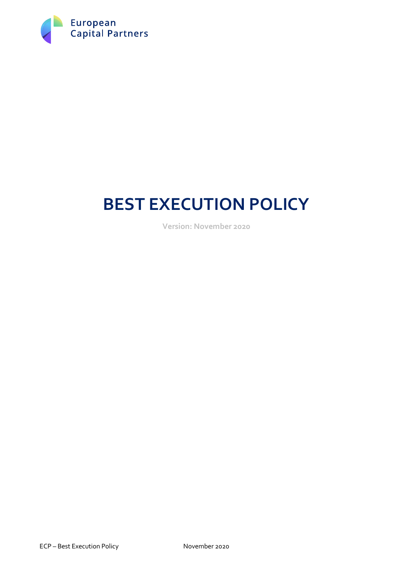

# **BEST EXECUTION POLICY**

**Version: November 2020**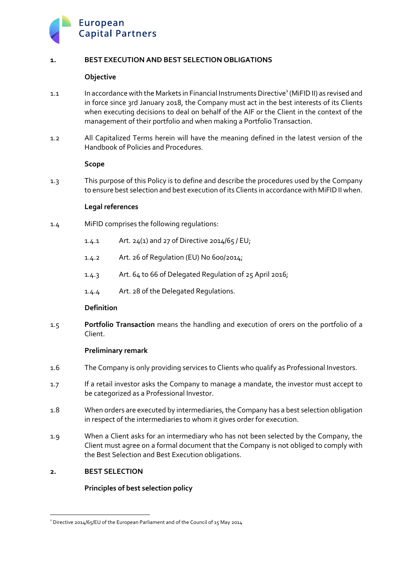

# **1. BEST EXECUTION AND BEST SELECTION OBLIGATIONS**

# **Objective**

- 1.1 In accordance with the Markets in Financial Instruments Directive<sup>1</sup> (MiFID II) as revised and in force since 3rd January 2018, the Company must act in the best interests of its Clients when executing decisions to deal on behalf of the AIF or the Client in the context of the management of their portfolio and when making a Portfolio Transaction.
- 1.2 All Capitalized Terms herein will have the meaning defined in the latest version of the Handbook of Policies and Procedures.

# **Scope**

1.3 This purpose of this Policy is to define and describe the procedures used by the Company to ensure best selection and best execution of its Clients in accordance with MiFID II when.

#### **Legal references**

- 1.4 MiFID comprises the following regulations:
	- 1.4.1 Art. 24(1) and 27 of Directive 2014/65 / EU;
	- 1.4.2 Art. 26 of Regulation (EU) No 600/2014;
	- 1.4.3 Art. 64 to 66 of Delegated Regulation of 25 April 2016;
	- 1.4.4 Art. 28 of the Delegated Regulations.

# **Definition**

1.5 **Portfolio Transaction** means the handling and execution of orers on the portfolio of a Client.

# **Preliminary remark**

- 1.6 The Company is only providing services to Clients who qualify as Professional Investors.
- 1.7 If a retail investor asks the Company to manage a mandate, the investor must accept to be categorized as a Professional Investor.
- 1.8 When orders are executed by intermediaries, the Company has a best selection obligation in respect of the intermediaries to whom it gives order for execution.
- 1.9 When a Client asks for an intermediary who has not been selected by the Company, the Client must agree on a formal document that the Company is not obliged to comply with the Best Selection and Best Execution obligations.

# **2. BEST SELECTION**

# **Principles of best selection policy**

<sup>&</sup>lt;sup>1</sup> Directive 2014/65/EU of the European Parliament and of the Council of 15 May 2014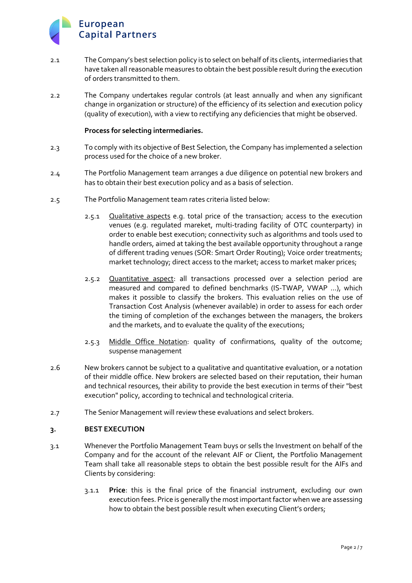# European **Capital Partners**

- 2.1 The Company's best selection policy is to select on behalf of its clients, intermediaries that have taken all reasonable measures to obtain the best possible result during the execution of orders transmitted to them.
- 2.2 The Company undertakes regular controls (at least annually and when any significant change in organization or structure) of the efficiency of its selection and execution policy (quality of execution), with a view to rectifying any deficiencies that might be observed.

# **Process for selecting intermediaries.**

- 2.3 To comply with its objective of Best Selection, the Company has implemented a selection process used for the choice of a new broker.
- 2.4 The Portfolio Management team arranges a due diligence on potential new brokers and has to obtain their best execution policy and as a basis of selection.
- 2.5 The Portfolio Management team rates criteria listed below:
	- 2.5.1 **Qualitative aspects e.g. total price of the transaction; access to the execution** venues (e.g. regulated mareket, multi-trading facility of OTC counterparty) in order to enable best execution; connectivity such as algorithms and tools used to handle orders, aimed at taking the best available opportunity throughout a range of different trading venues (SOR: Smart Order Routing); Voice order treatments; market technology; direct access to the market; access to market maker prices;
	- 2.5.2 Quantitative aspect: all transactions processed over a selection period are measured and compared to defined benchmarks (IS-TWAP, VWAP ...), which makes it possible to classify the brokers. This evaluation relies on the use of Transaction Cost Analysis (whenever available) in order to assess for each order the timing of completion of the exchanges between the managers, the brokers and the markets, and to evaluate the quality of the executions;
	- 2.5.3 Middle Office Notation: quality of confirmations, quality of the outcome; suspense management
- 2.6 New brokers cannot be subject to a qualitative and quantitative evaluation, or a notation of their middle office. New brokers are selected based on their reputation, their human and technical resources, their ability to provide the best execution in terms of their "best execution" policy, according to technical and technological criteria.
- 2.7 The Senior Management will review these evaluations and select brokers.

# **3. BEST EXECUTION**

- 3.1 Whenever the Portfolio Management Team buys or sells the Investment on behalf of the Company and for the account of the relevant AIF or Client, the Portfolio Management Team shall take all reasonable steps to obtain the best possible result for the AIFs and Clients by considering:
	- 3.1.1 **Price**: this is the final price of the financial instrument, excluding our own execution fees. Price is generally the most important factor when we are assessing how to obtain the best possible result when executing Client's orders;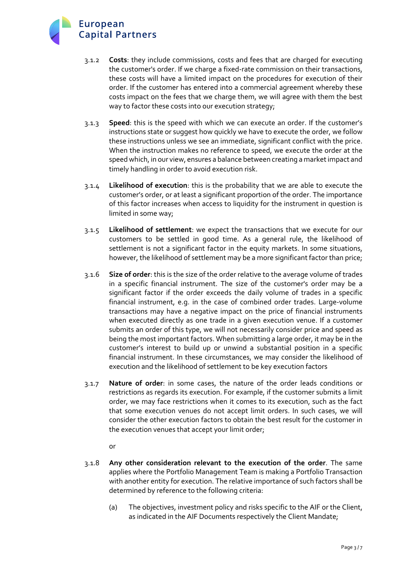

- 3.1.2 **Costs**: they include commissions, costs and fees that are charged for executing the customer's order. If we charge a fixed-rate commission on their transactions, these costs will have a limited impact on the procedures for execution of their order. If the customer has entered into a commercial agreement whereby these costs impact on the fees that we charge them, we will agree with them the best way to factor these costs into our execution strategy;
- 3.1.3 **Speed**: this is the speed with which we can execute an order. If the customer's instructions state or suggest how quickly we have to execute the order, we follow these instructions unless we see an immediate, significant conflict with the price. When the instruction makes no reference to speed, we execute the order at the speed which, in our view, ensures a balance between creating a market impact and timely handling in order to avoid execution risk.
- 3.1.4 **Likelihood of execution**: this is the probability that we are able to execute the customer's order, or at least a significant proportion of the order. The importance of this factor increases when access to liquidity for the instrument in question is limited in some way;
- 3.1.5 **Likelihood of settlement**: we expect the transactions that we execute for our customers to be settled in good time. As a general rule, the likelihood of settlement is not a significant factor in the equity markets. In some situations, however, the likelihood of settlement may be a more significant factor than price;
- 3.1.6 **Size of order**: this is the size of the order relative to the average volume of trades in a specific financial instrument. The size of the customer's order may be a significant factor if the order exceeds the daily volume of trades in a specific financial instrument, e.g. in the case of combined order trades. Large-volume transactions may have a negative impact on the price of financial instruments when executed directly as one trade in a given execution venue. If a customer submits an order of this type, we will not necessarily consider price and speed as being the most important factors. When submitting a large order, it may be in the customer's interest to build up or unwind a substantial position in a specific financial instrument. In these circumstances, we may consider the likelihood of execution and the likelihood of settlement to be key execution factors
- 3.1.7 **Nature of order**: in some cases, the nature of the order leads conditions or restrictions as regards its execution. For example, if the customer submits a limit order, we may face restrictions when it comes to its execution, such as the fact that some execution venues do not accept limit orders. In such cases, we will consider the other execution factors to obtain the best result for the customer in the execution venues that accept your limit order;

or

- 3.1.8 **Any other consideration relevant to the execution of the order**. The same applies where the Portfolio Management Team is making a Portfolio Transaction with another entity for execution. The relative importance of such factors shall be determined by reference to the following criteria:
	- (a) The objectives, investment policy and risks specific to the AIF or the Client, as indicated in the AIF Documents respectively the Client Mandate;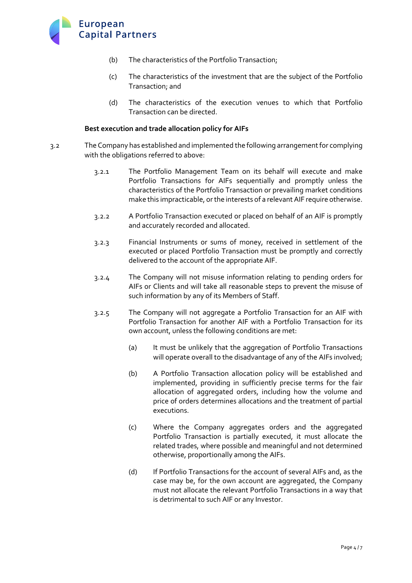

- (b) The characteristics of the Portfolio Transaction;
- (c) The characteristics of the investment that are the subject of the Portfolio Transaction; and
- (d) The characteristics of the execution venues to which that Portfolio Transaction can be directed.

#### **Best execution and trade allocation policy for AIFs**

- 3.2 The Company has established and implemented the following arrangement for complying with the obligations referred to above:
	- 3.2.1 The Portfolio Management Team on its behalf will execute and make Portfolio Transactions for AIFs sequentially and promptly unless the characteristics of the Portfolio Transaction or prevailing market conditions make this impracticable, or the interests of a relevant AIF require otherwise.
	- 3.2.2 A Portfolio Transaction executed or placed on behalf of an AIF is promptly and accurately recorded and allocated.
	- 3.2.3 Financial Instruments or sums of money, received in settlement of the executed or placed Portfolio Transaction must be promptly and correctly delivered to the account of the appropriate AIF.
	- 3.2.4 The Company will not misuse information relating to pending orders for AIFs or Clients and will take all reasonable steps to prevent the misuse of such information by any of its Members of Staff.
	- 3.2.5 The Company will not aggregate a Portfolio Transaction for an AIF with Portfolio Transaction for another AIF with a Portfolio Transaction for its own account, unless the following conditions are met:
		- (a) It must be unlikely that the aggregation of Portfolio Transactions will operate overall to the disadvantage of any of the AIFs involved;
		- (b) A Portfolio Transaction allocation policy will be established and implemented, providing in sufficiently precise terms for the fair allocation of aggregated orders, including how the volume and price of orders determines allocations and the treatment of partial executions.
		- (c) Where the Company aggregates orders and the aggregated Portfolio Transaction is partially executed, it must allocate the related trades, where possible and meaningful and not determined otherwise, proportionally among the AIFs.
		- (d) If Portfolio Transactions for the account of several AIFs and, as the case may be, for the own account are aggregated, the Company must not allocate the relevant Portfolio Transactions in a way that is detrimental to such AIF or any Investor.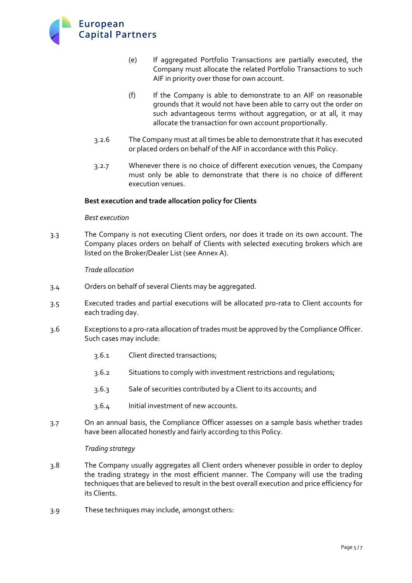

- (e) If aggregated Portfolio Transactions are partially executed, the Company must allocate the related Portfolio Transactions to such AIF in priority over those for own account.
- (f) If the Company is able to demonstrate to an AIF on reasonable grounds that it would not have been able to carry out the order on such advantageous terms without aggregation, or at all, it may allocate the transaction for own account proportionally.
- 3.2.6 The Company must at all times be able to demonstrate that it has executed or placed orders on behalf of the AIF in accordance with this Policy.
- 3.2.7 Whenever there is no choice of different execution venues, the Company must only be able to demonstrate that there is no choice of different execution venues.

# **Best execution and trade allocation policy for Clients**

#### *Best execution*

3.3 The Company is not executing Client orders, nor does it trade on its own account. The Company places orders on behalf of Clients with selected executing brokers which are listed on the Broker/Dealer List (see Annex A).

#### *Trade allocation*

- 3.4 Orders on behalf of several Clients may be aggregated.
- 3.5 Executed trades and partial executions will be allocated pro-rata to Client accounts for each trading day.
- 3.6 Exceptions to a pro-rata allocation of trades must be approved by the Compliance Officer. Such cases may include:
	- 3.6.1 Client directed transactions;
	- 3.6.2 Situations to comply with investment restrictions and regulations;
	- 3.6.3 Sale of securities contributed by a Client to its accounts; and
	- 3.6.4 Initial investment of new accounts.
- 3.7 On an annual basis, the Compliance Officer assesses on a sample basis whether trades have been allocated honestly and fairly according to this Policy.

#### *Trading strategy*

- 3.8 The Company usually aggregates all Client orders whenever possible in order to deploy the trading strategy in the most efficient manner. The Company will use the trading techniques that are believed to result in the best overall execution and price efficiency for its Clients.
- 3.9 These techniques may include, amongst others: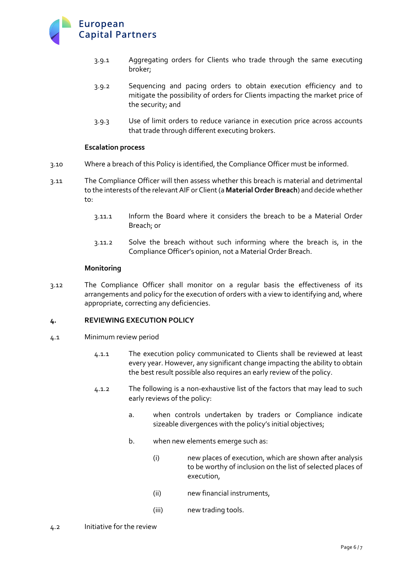

- 3.9.1 Aggregating orders for Clients who trade through the same executing broker;
- 3.9.2 Sequencing and pacing orders to obtain execution efficiency and to mitigate the possibility of orders for Clients impacting the market price of the security; and
- 3.9.3 Use of limit orders to reduce variance in execution price across accounts that trade through different executing brokers.

#### **Escalation process**

- 3.10 Where a breach of this Policy is identified, the Compliance Officer must be informed.
- 3.11 The Compliance Officer will then assess whether this breach is material and detrimental to the interests of the relevant AIF or Client (a **Material Order Breach**) and decide whether to:
	- 3.11.1 Inform the Board where it considers the breach to be a Material Order Breach; or
	- 3.11.2 Solve the breach without such informing where the breach is, in the Compliance Officer's opinion, not a Material Order Breach.

#### **Monitoring**

3.12 The Compliance Officer shall monitor on a regular basis the effectiveness of its arrangements and policy for the execution of orders with a view to identifying and, where appropriate, correcting any deficiencies.

#### **4. REVIEWING EXECUTION POLICY**

- 4.1 Minimum review period
	- 4.1.1 The execution policy communicated to Clients shall be reviewed at least every year. However, any significant change impacting the ability to obtain the best result possible also requires an early review of the policy.
	- 4.1.2 The following is a non-exhaustive list of the factors that may lead to such early reviews of the policy:
		- a. when controls undertaken by traders or Compliance indicate sizeable divergences with the policy's initial objectives;
		- b. when new elements emerge such as:
			- (i) new places of execution, which are shown after analysis to be worthy of inclusion on the list of selected places of execution,
			- (ii) new financial instruments,
			- (iii) new trading tools.
- 4.2 Initiative for the review